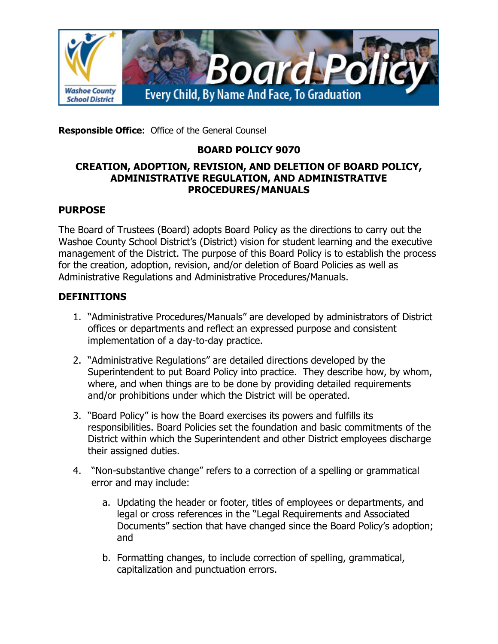

**Responsible Office**: Office of the General Counsel

## **BOARD POLICY 9070**

#### **CREATION, ADOPTION, REVISION, AND DELETION OF BOARD POLICY, ADMINISTRATIVE REGULATION, AND ADMINISTRATIVE PROCEDURES/MANUALS**

### **PURPOSE**

The Board of Trustees (Board) adopts Board Policy as the directions to carry out the Washoe County School District's (District) vision for student learning and the executive management of the District. The purpose of this Board Policy is to establish the process for the creation, adoption, revision, and/or deletion of Board Policies as well as Administrative Regulations and Administrative Procedures/Manuals.

### **DEFINITIONS**

- 1. "Administrative Procedures/Manuals" are developed by administrators of District offices or departments and reflect an expressed purpose and consistent implementation of a day-to-day practice.
- 2. "Administrative Regulations" are detailed directions developed by the Superintendent to put Board Policy into practice. They describe how, by whom, where, and when things are to be done by providing detailed requirements and/or prohibitions under which the District will be operated.
- 3. "Board Policy" is how the Board exercises its powers and fulfills its responsibilities. Board Policies set the foundation and basic commitments of the District within which the Superintendent and other District employees discharge their assigned duties.
- 4. "Non-substantive change" refers to a correction of a spelling or grammatical error and may include:
	- a. Updating the header or footer, titles of employees or departments, and legal or cross references in the "Legal Requirements and Associated Documents" section that have changed since the Board Policy's adoption; and
	- b. Formatting changes, to include correction of spelling, grammatical, capitalization and punctuation errors.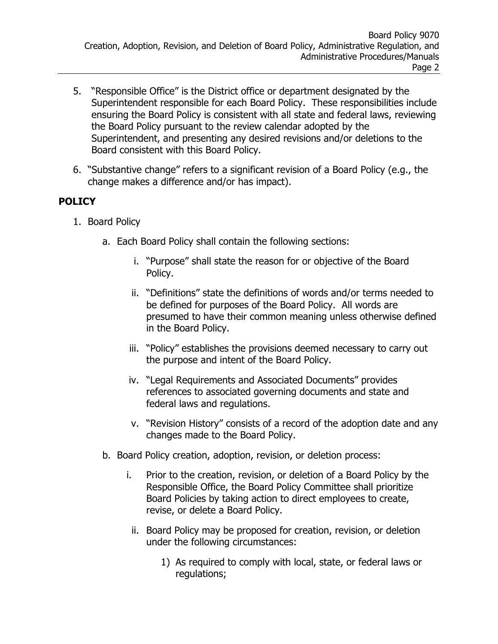- 5. "Responsible Office" is the District office or department designated by the Superintendent responsible for each Board Policy. These responsibilities include ensuring the Board Policy is consistent with all state and federal laws, reviewing the Board Policy pursuant to the review calendar adopted by the Superintendent, and presenting any desired revisions and/or deletions to the Board consistent with this Board Policy.
- 6. "Substantive change" refers to a significant revision of a Board Policy (e.g., the change makes a difference and/or has impact).

## **POLICY**

- 1. Board Policy
	- a. Each Board Policy shall contain the following sections:
		- i. "Purpose" shall state the reason for or objective of the Board Policy.
		- ii. "Definitions" state the definitions of words and/or terms needed to be defined for purposes of the Board Policy. All words are presumed to have their common meaning unless otherwise defined in the Board Policy.
		- iii. "Policy" establishes the provisions deemed necessary to carry out the purpose and intent of the Board Policy.
		- iv. "Legal Requirements and Associated Documents" provides references to associated governing documents and state and federal laws and regulations.
		- v. "Revision History" consists of a record of the adoption date and any changes made to the Board Policy.
	- b. Board Policy creation, adoption, revision, or deletion process:
		- i. Prior to the creation, revision, or deletion of a Board Policy by the Responsible Office, the Board Policy Committee shall prioritize Board Policies by taking action to direct employees to create, revise, or delete a Board Policy.
			- ii. Board Policy may be proposed for creation, revision, or deletion under the following circumstances:
				- 1) As required to comply with local, state, or federal laws or regulations;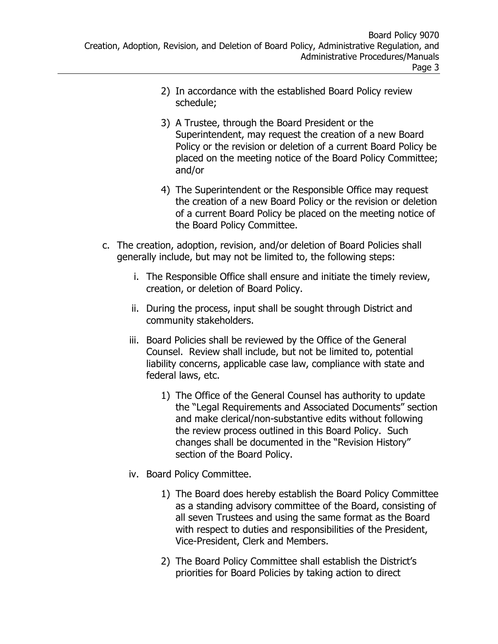- 2) In accordance with the established Board Policy review schedule;
- 3) A Trustee, through the Board President or the Superintendent, may request the creation of a new Board Policy or the revision or deletion of a current Board Policy be placed on the meeting notice of the Board Policy Committee; and/or
- 4) The Superintendent or the Responsible Office may request the creation of a new Board Policy or the revision or deletion of a current Board Policy be placed on the meeting notice of the Board Policy Committee.
- c. The creation, adoption, revision, and/or deletion of Board Policies shall generally include, but may not be limited to, the following steps:
	- i. The Responsible Office shall ensure and initiate the timely review, creation, or deletion of Board Policy.
	- ii. During the process, input shall be sought through District and community stakeholders.
	- iii. Board Policies shall be reviewed by the Office of the General Counsel. Review shall include, but not be limited to, potential liability concerns, applicable case law, compliance with state and federal laws, etc.
		- 1) The Office of the General Counsel has authority to update the "Legal Requirements and Associated Documents" section and make clerical/non-substantive edits without following the review process outlined in this Board Policy. Such changes shall be documented in the "Revision History" section of the Board Policy.
	- iv. Board Policy Committee.
		- 1) The Board does hereby establish the Board Policy Committee as a standing advisory committee of the Board, consisting of all seven Trustees and using the same format as the Board with respect to duties and responsibilities of the President, Vice-President, Clerk and Members.
		- 2) The Board Policy Committee shall establish the District's priorities for Board Policies by taking action to direct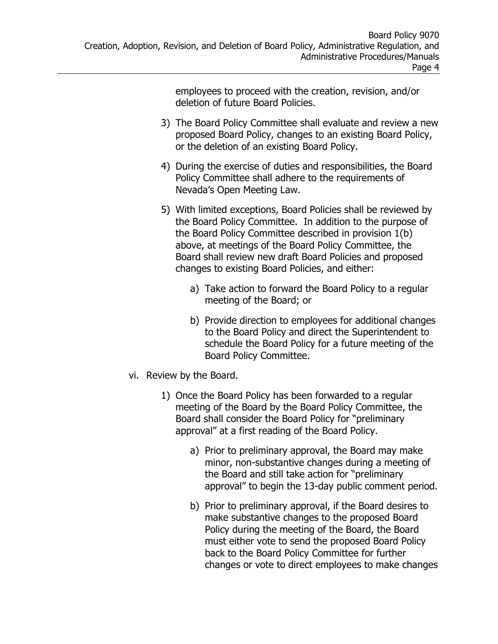employees to proceed with the creation, revision, and/or deletion of future Board Policies.

- 3) The Board Policy Committee shall evaluate and review a new proposed Board Policy, changes to an existing Board Policy, or the deletion of an existing Board Policy.
- 4) During the exercise of duties and responsibilities, the Board Policy Committee shall adhere to the requirements of Nevada's Open Meeting Law.
- 5) With limited exceptions, Board Policies shall be reviewed by the Board Policy Committee. In addition to the purpose of the Board Policy Committee described in provision 1(b) above, at meetings of the Board Policy Committee, the Board shall review new draft Board Policies and proposed changes to existing Board Policies, and either:
	- a) Take action to forward the Board Policy to a regular meeting of the Board; or
	- b) Provide direction to employees for additional changes to the Board Policy and direct the Superintendent to schedule the Board Policy for a future meeting of the Board Policy Committee.
- vi. Review by the Board.
	- 1) Once the Board Policy has been forwarded to a regular meeting of the Board by the Board Policy Committee, the Board shall consider the Board Policy for "preliminary approval" at a first reading of the Board Policy.
		- a) Prior to preliminary approval, the Board may make minor, non-substantive changes during a meeting of the Board and still take action for "preliminary approval" to begin the 13-day public comment period.
		- b) Prior to preliminary approval, if the Board desires to make substantive changes to the proposed Board Policy during the meeting of the Board, the Board must either vote to send the proposed Board Policy back to the Board Policy Committee for further changes or vote to direct employees to make changes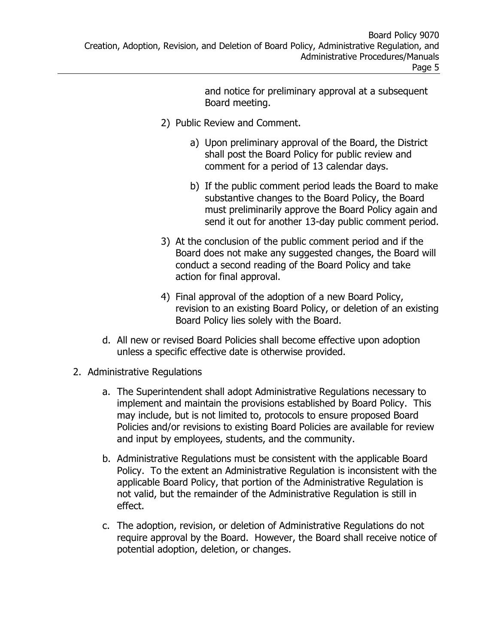and notice for preliminary approval at a subsequent Board meeting.

- 2) Public Review and Comment.
	- a) Upon preliminary approval of the Board, the District shall post the Board Policy for public review and comment for a period of 13 calendar days.
	- b) If the public comment period leads the Board to make substantive changes to the Board Policy, the Board must preliminarily approve the Board Policy again and send it out for another 13-day public comment period.
- 3) At the conclusion of the public comment period and if the Board does not make any suggested changes, the Board will conduct a second reading of the Board Policy and take action for final approval.
- 4) Final approval of the adoption of a new Board Policy, revision to an existing Board Policy, or deletion of an existing Board Policy lies solely with the Board.
- d. All new or revised Board Policies shall become effective upon adoption unless a specific effective date is otherwise provided.
- 2. Administrative Regulations
	- a. The Superintendent shall adopt Administrative Regulations necessary to implement and maintain the provisions established by Board Policy. This may include, but is not limited to, protocols to ensure proposed Board Policies and/or revisions to existing Board Policies are available for review and input by employees, students, and the community.
	- b. Administrative Regulations must be consistent with the applicable Board Policy. To the extent an Administrative Regulation is inconsistent with the applicable Board Policy, that portion of the Administrative Regulation is not valid, but the remainder of the Administrative Regulation is still in effect.
	- c. The adoption, revision, or deletion of Administrative Regulations do not require approval by the Board. However, the Board shall receive notice of potential adoption, deletion, or changes.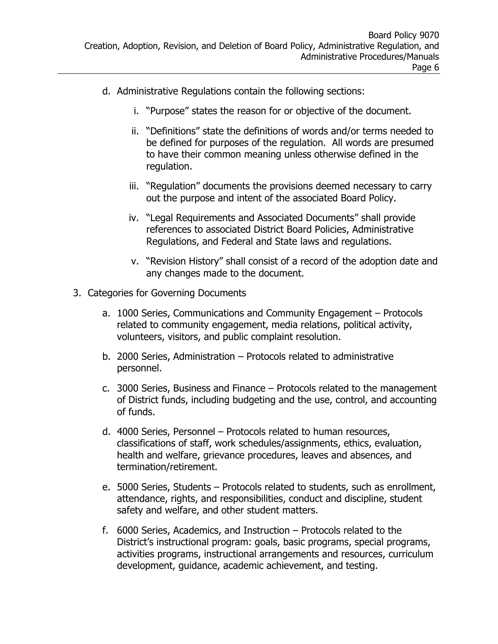- d. Administrative Regulations contain the following sections:
	- i. "Purpose" states the reason for or objective of the document.
	- ii. "Definitions" state the definitions of words and/or terms needed to be defined for purposes of the regulation. All words are presumed to have their common meaning unless otherwise defined in the regulation.
	- iii. "Regulation" documents the provisions deemed necessary to carry out the purpose and intent of the associated Board Policy.
	- iv. "Legal Requirements and Associated Documents" shall provide references to associated District Board Policies, Administrative Regulations, and Federal and State laws and regulations.
	- v. "Revision History" shall consist of a record of the adoption date and any changes made to the document.
- 3. Categories for Governing Documents
	- a. 1000 Series, Communications and Community Engagement Protocols related to community engagement, media relations, political activity, volunteers, visitors, and public complaint resolution.
	- b. 2000 Series, Administration Protocols related to administrative personnel.
	- c. 3000 Series, Business and Finance Protocols related to the management of District funds, including budgeting and the use, control, and accounting of funds.
	- d. 4000 Series, Personnel Protocols related to human resources, classifications of staff, work schedules/assignments, ethics, evaluation, health and welfare, grievance procedures, leaves and absences, and termination/retirement.
	- e. 5000 Series, Students Protocols related to students, such as enrollment, attendance, rights, and responsibilities, conduct and discipline, student safety and welfare, and other student matters.
	- f. 6000 Series, Academics, and Instruction Protocols related to the District's instructional program: goals, basic programs, special programs, activities programs, instructional arrangements and resources, curriculum development, guidance, academic achievement, and testing.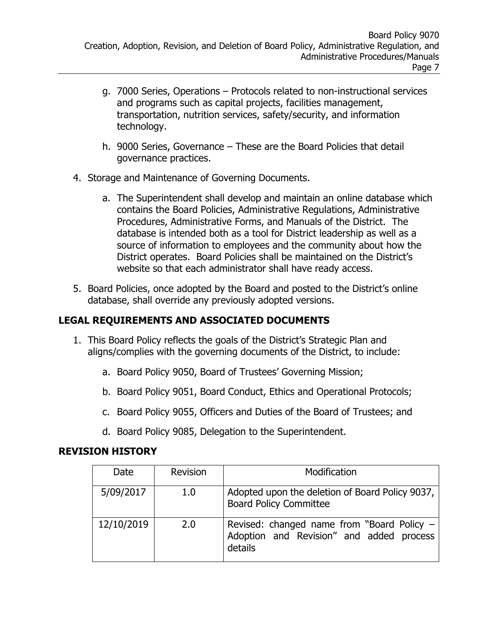- g. 7000 Series, Operations Protocols related to non-instructional services and programs such as capital projects, facilities management, transportation, nutrition services, safety/security, and information technology.
- h. 9000 Series, Governance These are the Board Policies that detail governance practices.
- 4. Storage and Maintenance of Governing Documents.
	- a. The Superintendent shall develop and maintain an online database which contains the Board Policies, Administrative Regulations, Administrative Procedures, Administrative Forms, and Manuals of the District. The database is intended both as a tool for District leadership as well as a source of information to employees and the community about how the District operates. Board Policies shall be maintained on the District's website so that each administrator shall have ready access.
- 5. Board Policies, once adopted by the Board and posted to the District's online database, shall override any previously adopted versions.

# **LEGAL REQUIREMENTS AND ASSOCIATED DOCUMENTS**

- 1. This Board Policy reflects the goals of the District's Strategic Plan and aligns/complies with the governing documents of the District, to include:
	- a. Board Policy 9050, Board of Trustees' Governing Mission;
	- b. Board Policy 9051, Board Conduct, Ethics and Operational Protocols;
	- c. Board Policy 9055, Officers and Duties of the Board of Trustees; and
	- d. Board Policy 9085, Delegation to the Superintendent.

## **REVISION HISTORY**

| Date       | <b>Revision</b> | Modification                                                                                      |
|------------|-----------------|---------------------------------------------------------------------------------------------------|
| 5/09/2017  | 1.0             | Adopted upon the deletion of Board Policy 9037,<br><b>Board Policy Committee</b>                  |
| 12/10/2019 | 2.0             | Revised: changed name from "Board Policy -<br>Adoption and Revision" and added process<br>details |